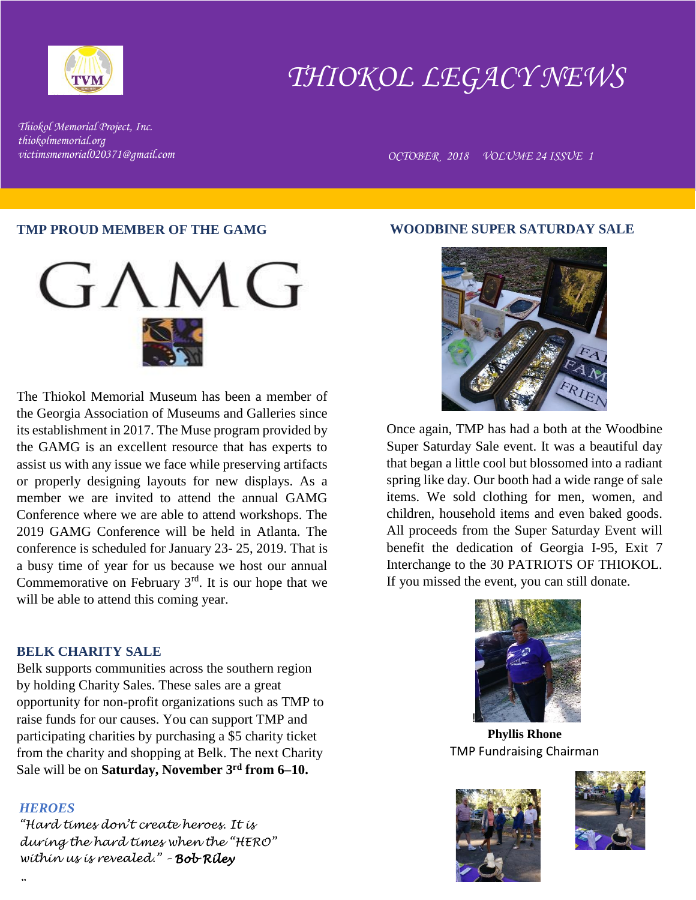

# *THIOKOL LEGACY NEWS*

*Thiokol Memorial Project, Inc. thiokolmemorial.org*

*victimsmemorial020371@gmail.com OCTOBER 2018 VOLUME 24 ISSUE 1* 

#### **TMP PROUD MEMBER OF THE GAMG**



The Thiokol Memorial Museum has been a member of the Georgia Association of Museums and Galleries since its establishment in 2017. The Muse program provided by the GAMG is an excellent resource that has experts to assist us with any issue we face while preserving artifacts or properly designing layouts for new displays. As a member we are invited to attend the annual GAMG Conference where we are able to attend workshops. The 2019 GAMG Conference will be held in Atlanta. The conference is scheduled for January 23- 25, 2019. That is a busy time of year for us because we host our annual Commemorative on February  $3<sup>rd</sup>$ . It is our hope that we will be able to attend this coming year.

# **BELK CHARITY SALE**

Belk supports communities across the southern region by holding Charity Sales. These sales are a great opportunity for non-profit organizations such as TMP to raise funds for our causes. You can support TMP and participating charities by purchasing a \$5 charity ticket from the charity and shopping at Belk. The next Charity Sale will be on **Saturday, November 3rd from 6–10.**

#### *HEROES*

*"*

*"Hard times don't create heroes. It is during the hard times when the "HERO" within us is revealed." – Bob Riley*

### **WOODBINE SUPER SATURDAY SALE**



Once again, TMP has had a both at the Woodbine Super Saturday Sale event. It was a beautiful day that began a little cool but blossomed into a radiant spring like day. Our booth had a wide range of sale items. We sold clothing for men, women, and children, household items and even baked goods. All proceeds from the Super Saturday Event will benefit the dedication of Georgia I-95, Exit 7 Interchange to the 30 PATRIOTS OF THIOKOL. If you missed the event, you can still donate.



**Phyllis Rhone** TMP Fundraising Chairman